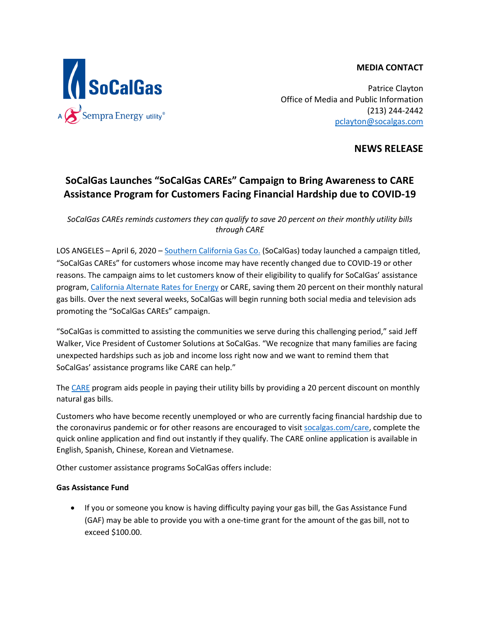#### **MEDIA CONTACT**



Patrice Clayton Office of Media and Public Information (213) 244-2442 [pclayton@socalgas.com](mailto:pclayton@socalgas.com)

**NEWS RELEASE**

# **SoCalGas Launches "SoCalGas CAREs" Campaign to Bring Awareness to CARE Assistance Program for Customers Facing Financial Hardship due to COVID-19**

*SoCalGas CAREs reminds customers they can qualify to save 20 percent on their monthly utility bills through CARE*

LOS ANGELES – April 6, 2020 – [Southern California Gas Co.](https://www.socalgas.com/) (SoCalGas) today launched a campaign titled, "SoCalGas CAREs" for customers whose income may have recently changed due to COVID-19 or other reasons. The campaign aims to let customers know of their eligibility to qualify for SoCalGas' assistance program[, California Alternate Rates for Energy](https://www.socalgas.com/save-money-and-energy/assistance-programs/california-alternate-rates-for-energy) or CARE, saving them 20 percent on their monthly natural gas bills. Over the next several weeks, SoCalGas will begin running both social media and television ads promoting the "SoCalGas CAREs" campaign.

"SoCalGas is committed to assisting the communities we serve during this challenging period," said Jeff Walker, Vice President of Customer Solutions at SoCalGas. "We recognize that many families are facing unexpected hardships such as job and income loss right now and we want to remind them that SoCalGas' assistance programs like CARE can help."

The [CARE](https://www.socalgas.com/save-money-and-energy/assistance-programs/california-alternate-rates-for-energy) program aids people in paying their utility bills by providing a 20 percent discount on monthly natural gas bills.

Customers who have become recently unemployed or who are currently facing financial hardship due to the coronavirus pandemic or for other reasons are encouraged to visit [socalgas.com/care,](https://www.socalgas.com/save-money-and-energy/assistance-programs/california-alternate-rates-for-energy) complete the quick online application and find out instantly if they qualify. The CARE online application is available in English, Spanish, Chinese, Korean and Vietnamese.

Other customer assistance programs SoCalGas offers include:

## **Gas Assistance Fund**

• If you or someone you know is having difficulty paying your gas bill, the Gas Assistance Fund (GAF) may be able to provide you with a one-time grant for the amount of the gas bill, not to exceed \$100.00.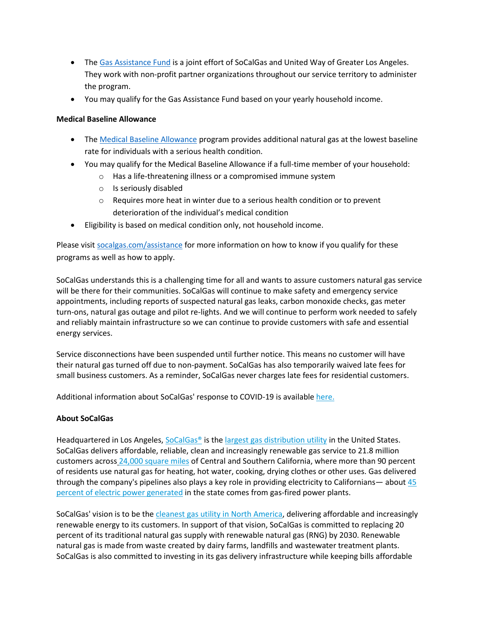- The [Gas Assistance Fund](https://www.socalgas.com/save-money-and-energy/assistance-programs/gas-assistance-fund) is a joint effort of SoCalGas and United Way of Greater Los Angeles. They work with non-profit partner organizations throughout our service territory to administer the program.
- You may qualify for the Gas Assistance Fund based on your yearly household income.

#### **Medical Baseline Allowance**

- The [Medical Baseline Allowance](https://www.socalgas.com/save-money-and-energy/assistance-programs/medical-baseline-allowance) program provides additional natural gas at the lowest baseline rate for individuals with a serious health condition.
- You may qualify for the Medical Baseline Allowance if a full-time member of your household:
	- o Has a life-threatening illness or a compromised immune system
	- o Is seriously disabled
	- $\circ$  Requires more heat in winter due to a serious health condition or to prevent deterioration of the individual's medical condition
- Eligibility is based on medical condition only, not household income.

Please visi[t socalgas.com/assistance](https://www.socalgas.com/save-money-and-energy/assistance-programs) for more information on how to know if you qualify for these programs as well as how to apply.

SoCalGas understands this is a challenging time for all and wants to assure customers natural gas service will be there for their communities. SoCalGas will continue to make safety and emergency service appointments, including reports of suspected natural gas leaks, carbon monoxide checks, gas meter turn-ons, natural gas outage and pilot re-lights. And we will continue to perform work needed to safely and reliably maintain infrastructure so we can continue to provide customers with safe and essential energy services.

Service disconnections have been suspended until further notice. This means no customer will have their natural gas turned off due to non-payment. SoCalGas has also temporarily waived late fees for small business customers. As a reminder, SoCalGas never charges late fees for residential customers.

Additional information about SoCalGas' response to COVID-19 is available [here](https://c212.net/c/link/?t=0&l=en&o=2762894-1&h=2440012564&u=https%3A%2F%2Fsocalgas.com%2Fcoronavirus&a=here)[.](https://c212.net/c/link/?t=0&l=en&o=2762894-1&h=4015906855&u=https%3A%2F%2Fsocalgas.com%2Fcoronavirus&a=.)

## **About SoCalGas**

Headquartered in Los Angeles, SoCalGas<sup>®</sup> is the [largest gas distribution utility](https://c212.net/c/link/?t=0&l=en&o=2754384-1&h=2962820994&u=https%3A%2F%2Fc212.net%2Fc%2Flink%2F%3Ft%3D0%26l%3Den%26o%3D2749733-1%26h%3D742302038%26u%3Dhttps%253A%252F%252Fwww.aga.org%252Fknowledgecenter%252Ffacts-and-data%252Futility-rankings%26a%3Dlargest%2Bgas%2Bdistribution%2Butility&a=largest+gas+distribution+utility) in the United States. SoCalGas delivers affordable, reliable, clean and increasingly renewable gas service to 21.8 million customers across [24,000 square miles](https://c212.net/c/link/?t=0&l=en&o=2754384-1&h=493537845&u=https%3A%2F%2Fc212.net%2Fc%2Flink%2F%3Ft%3D0%26l%3Den%26o%3D2749733-1%26h%3D214534354%26u%3Dhttps%253A%252F%252Fwww.socalgas.com%252Fabout-us%252Fcompany-profile%26a%3D24%252C000%2Bsquare%2Bmiles&a=24%2C000+square+miles) of Central and Southern California, where more than 90 percent of residents use natural gas for heating, hot water, cooking, drying clothes or other uses. Gas delivered through the company's pipelines also plays a key role in providing electricity to Californians— about  $45$ [percent of electric power generated](https://c212.net/c/link/?t=0&l=en&o=2754384-1&h=2048102586&u=https%3A%2F%2Fc212.net%2Fc%2Flink%2F%3Ft%3D0%26l%3Den%26o%3D2749733-1%26h%3D1368245771%26u%3Dhttp%253A%252F%252Fwww.energy.ca.gov%252Falmanac%252Felectricity_data%252Ftotal_system_power.html%26a%3D45%2Bpercent%2Bof%2Belectric%2Bpower%2Bgenerated&a=45+percent+of+electric+power+generated) in the state comes from gas-fired power plants.

SoCalGas' vision is to be the [cleanest gas utility in](https://c212.net/c/link/?t=0&l=en&o=2754384-1&h=796414393&u=https%3A%2F%2Fc212.net%2Fc%2Flink%2F%3Ft%3D0%26l%3Den%26o%3D2749733-1%26h%3D2017800724%26u%3Dhttps%253A%252F%252Fsempra.mediaroom.com%252Findex.php%253Fs%253D19080%2526item%253D137611%26a%3Dcleanest%2Bgas%2Butility%2Bin%2BNorth%2BAmerica&a=cleanest+gas+utility+in%C2%A0North+America) North America, delivering affordable and increasingly renewable energy to its customers. In support of that vision, SoCalGas is committed to replacing 20 percent of its traditional natural gas supply with renewable natural gas (RNG) by 2030. Renewable natural gas is made from waste created by dairy farms, landfills and wastewater treatment plants. SoCalGas is also committed to investing in its gas delivery infrastructure while keeping bills affordable